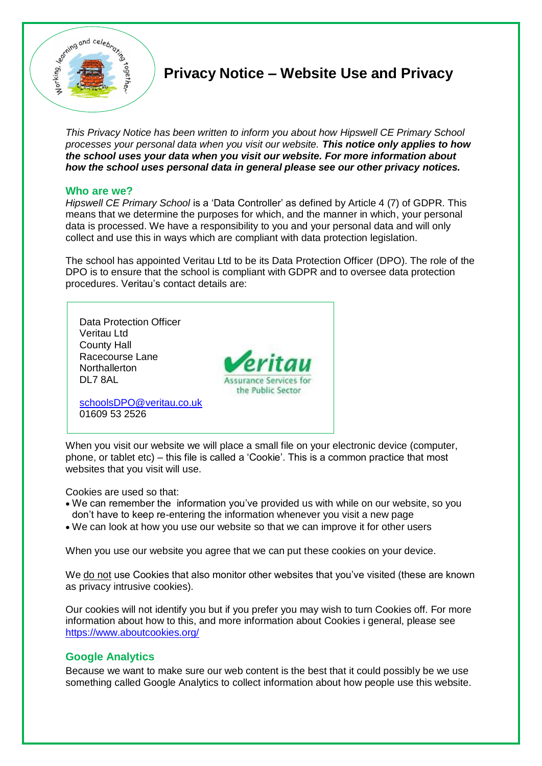

# **Privacy Notice – Website Use and Privacy**

*This Privacy Notice has been written to inform you about how Hipswell CE Primary School processes your personal data when you visit our website. This notice only applies to how the school uses your data when you visit our website. For more information about how the school uses personal data in general please see our other privacy notices.* 

# **Who are we?**

*Hipswell CE Primary School* is a 'Data Controller' as defined by Article 4 (7) of GDPR. This means that we determine the purposes for which, and the manner in which, your personal data is processed. We have a responsibility to you and your personal data and will only collect and use this in ways which are compliant with data protection legislation.

The school has appointed Veritau Ltd to be its Data Protection Officer (DPO). The role of the DPO is to ensure that the school is compliant with GDPR and to oversee data protection procedures. Veritau's contact details are:



When you visit our website we will place a small file on your electronic device (computer, phone, or tablet etc) – this file is called a 'Cookie'. This is a common practice that most websites that you visit will use.

Cookies are used so that:

- We can remember the information you've provided us with while on our website, so you don't have to keep re-entering the information whenever you visit a new page
- We can look at how you use our website so that we can improve it for other users

When you use our website you agree that we can put these cookies on your device.

We do not use Cookies that also monitor other websites that you've visited (these are known as privacy intrusive cookies).

Our cookies will not identify you but if you prefer you may wish to turn Cookies off. For more information about how to this, and more information about Cookies i general, please see <https://www.aboutcookies.org/>

# **Google Analytics**

Because we want to make sure our web content is the best that it could possibly be we use something called Google Analytics to collect information about how people use this website.